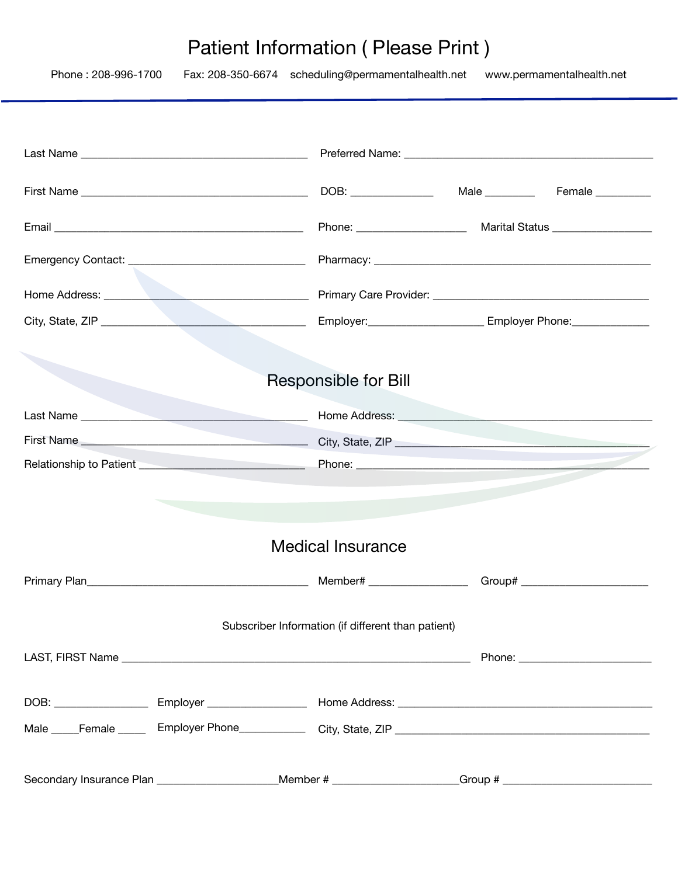# Patient Information ( Please Print )

| Phone: 208-996-1700 | Fax: 208-350-6674 scheduling@permamentalhealth.net                                                             | www.permamentalhealth.net                                             |
|---------------------|----------------------------------------------------------------------------------------------------------------|-----------------------------------------------------------------------|
|                     |                                                                                                                |                                                                       |
|                     |                                                                                                                |                                                                       |
|                     |                                                                                                                |                                                                       |
|                     |                                                                                                                |                                                                       |
|                     |                                                                                                                |                                                                       |
|                     |                                                                                                                |                                                                       |
|                     |                                                                                                                | Employer: __________________________ Employer Phone: ________________ |
|                     |                                                                                                                |                                                                       |
|                     | Responsible for Bill                                                                                           |                                                                       |
|                     |                                                                                                                |                                                                       |
|                     |                                                                                                                |                                                                       |
|                     |                                                                                                                |                                                                       |
|                     |                                                                                                                |                                                                       |
|                     | <b>Medical Insurance</b>                                                                                       |                                                                       |
|                     |                                                                                                                |                                                                       |
|                     | Subscriber Information (if different than patient)                                                             |                                                                       |
|                     |                                                                                                                |                                                                       |
|                     | DOB: _________________________Employer ________________________Home Address: _________________________________ |                                                                       |
|                     |                                                                                                                |                                                                       |
|                     | Secondary Insurance Plan _______________________Member # ___________________Group # _________________________  |                                                                       |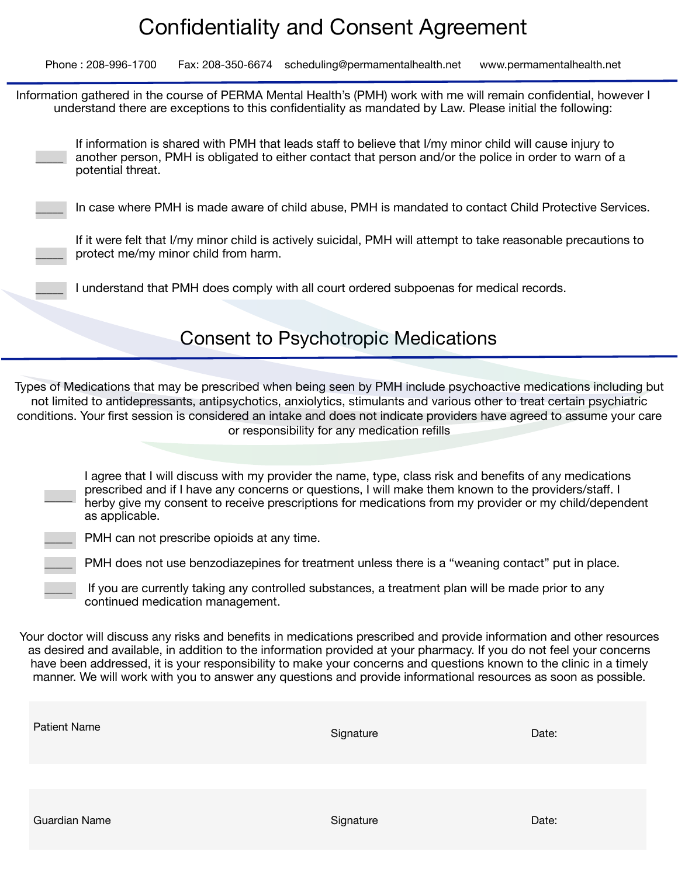## Confidentiality and Consent Agreement

Phone : 208-996-1700 Fax: 208-350-6674 scheduling@permamentalhealth.net www.permamentalhealth.net

Information gathered in the course of PERMA Mental Health's (PMH) work with me will remain confidential, however I understand there are exceptions to this confidentiality as mandated by Law. Please initial the following:

 $\overline{\phantom{a}}$ If information is shared with PMH that leads staff to believe that I/my minor child will cause injury to another person, PMH is obligated to either contact that person and/or the police in order to warn of a potential threat.

In case where PMH is made aware of child abuse, PMH is mandated to contact Child Protective Services.

If it were felt that I/my minor child is actively suicidal, PMH will attempt to take reasonable precautions to protect me/my minor child from harm.

I understand that PMH does comply with all court ordered subpoenas for medical records.

## Consent to Psychotropic Medications

Types of Medications that may be prescribed when being seen by PMH include psychoactive medications including but not limited to antidepressants, antipsychotics, anxiolytics, stimulants and various other to treat certain psychiatric conditions. Your first session is considered an intake and does not indicate providers have agreed to assume your care or responsibility for any medication refills

I agree that I will discuss with my provider the name, type, class risk and benefits of any medications prescribed and if I have any concerns or questions, I will make them known to the providers/staff. I herby give my consent to receive prescriptions for medications from my provider or my child/dependent as applicable.

PMH can not prescribe opioids at any time.

 $\overline{\phantom{a}}$ 

\_\_\_\_\_

PMH does not use benzodiazepines for treatment unless there is a "weaning contact" put in place.

If you are currently taking any controlled substances, a treatment plan will be made prior to any continued medication management.

Your doctor will discuss any risks and benefits in medications prescribed and provide information and other resources as desired and available, in addition to the information provided at your pharmacy. If you do not feel your concerns have been addressed, it is your responsibility to make your concerns and questions known to the clinic in a timely manner. We will work with you to answer any questions and provide informational resources as soon as possible.

| <b>Patient Name</b>  | Signature | Date: |
|----------------------|-----------|-------|
|                      |           |       |
| <b>Guardian Name</b> | Signature | Date: |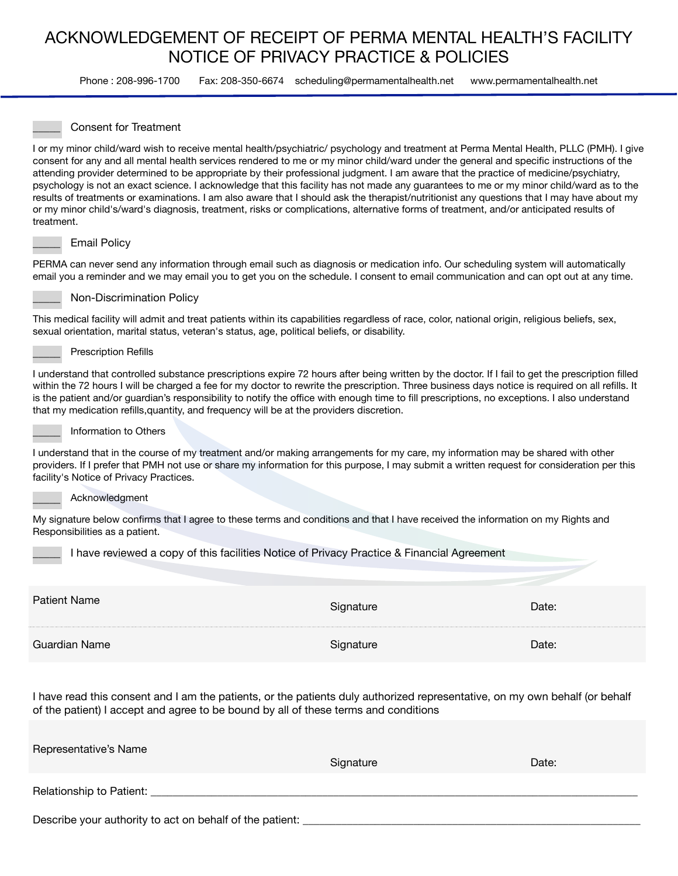### ACKNOWLEDGEMENT OF RECEIPT OF PERMA MENTAL HEALTH'S FACILITY NOTICE OF PRIVACY PRACTICE & POLICIES

Phone : 208-996-1700 Fax: 208-350-6674 scheduling@permamentalhealth.net www.permamentalhealth.net

#### \_\_\_\_\_ Consent for Treatment

I or my minor child/ward wish to receive mental health/psychiatric/ psychology and treatment at Perma Mental Health, PLLC (PMH). I give consent for any and all mental health services rendered to me or my minor child/ward under the general and specific instructions of the attending provider determined to be appropriate by their professional judgment. I am aware that the practice of medicine/psychiatry, psychology is not an exact science. I acknowledge that this facility has not made any guarantees to me or my minor child/ward as to the results of treatments or examinations. I am also aware that I should ask the therapist/nutritionist any questions that I may have about my or my minor child's/ward's diagnosis, treatment, risks or complications, alternative forms of treatment, and/or anticipated results of treatment.

#### Email Policy

PERMA can never send any information through email such as diagnosis or medication info. Our scheduling system will automatically email you a reminder and we may email you to get you on the schedule. I consent to email communication and can opt out at any time.



Non-Discrimination Policy

This medical facility will admit and treat patients within its capabilities regardless of race, color, national origin, religious beliefs, sex, sexual orientation, marital status, veteran's status, age, political beliefs, or disability.

#### Prescription Refills

I understand that controlled substance prescriptions expire 72 hours after being written by the doctor. If I fail to get the prescription filled within the 72 hours I will be charged a fee for my doctor to rewrite the prescription. Three business days notice is required on all refills. It is the patient and/or guardian's responsibility to notify the office with enough time to fill prescriptions, no exceptions. I also understand that my medication refills,quantity, and frequency will be at the providers discretion.



#### \_\_\_\_\_ Information to Others

I understand that in the course of my treatment and/or making arrangements for my care, my information may be shared with other providers. If I prefer that PMH not use or share my information for this purpose, I may submit a written request for consideration per this facility's Notice of Privacy Practices.

#### \_\_\_\_\_ Acknowledgment

My signature below confirms that I agree to these terms and conditions and that I have received the information on my Rights and Responsibilities as a patient.

I have reviewed a copy of this facilities Notice of Privacy Practice & Financial Agreement

| Patient Nai | 'ate  |
|-------------|-------|
| Name        | )ate: |

I have read this consent and I am the patients, or the patients duly authorized representative, on my own behalf (or behalf of the patient) I accept and agree to be bound by all of these terms and conditions

| Representative's Name                                    | Signature | Date: |
|----------------------------------------------------------|-----------|-------|
| Relationship to Patient:                                 |           |       |
| Describe your authority to act on behalf of the patient: |           |       |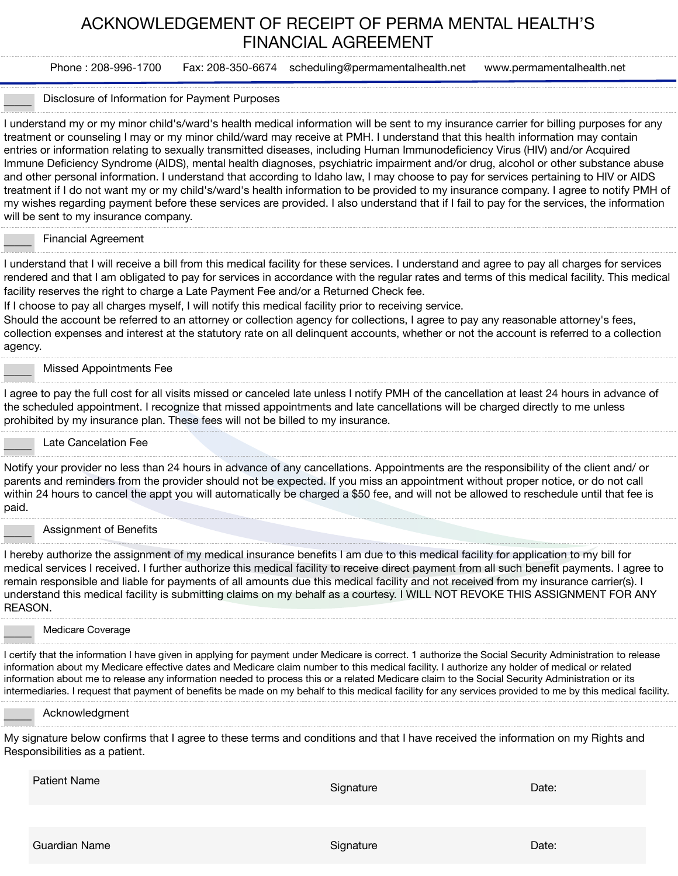### ACKNOWLEDGEMENT OF RECEIPT OF PERMA MENTAL HEALTH'S FINANCIAL AGREEMENT

Phone : 208-996-1700 Fax: 208-350-6674 scheduling@permamentalhealth.net www.permamentalhealth.net

#### Disclosure of Information for Payment Purposes

I understand my or my minor child's/ward's health medical information will be sent to my insurance carrier for billing purposes for any treatment or counseling I may or my minor child/ward may receive at PMH. I understand that this health information may contain entries or information relating to sexually transmitted diseases, including Human Immunodeficiency Virus (HIV) and/or Acquired Immune Deficiency Syndrome (AIDS), mental health diagnoses, psychiatric impairment and/or drug, alcohol or other substance abuse and other personal information. I understand that according to Idaho law, I may choose to pay for services pertaining to HIV or AIDS treatment if I do not want my or my child's/ward's health information to be provided to my insurance company. I agree to notify PMH of my wishes regarding payment before these services are provided. I also understand that if I fail to pay for the services, the information will be sent to my insurance company.

#### \_\_\_\_\_ Financial Agreement

I understand that I will receive a bill from this medical facility for these services. I understand and agree to pay all charges for services rendered and that I am obligated to pay for services in accordance with the regular rates and terms of this medical facility. This medical facility reserves the right to charge a Late Payment Fee and/or a Returned Check fee.

If I choose to pay all charges myself, I will notify this medical facility prior to receiving service.

Should the account be referred to an attorney or collection agency for collections, I agree to pay any reasonable attorney's fees, collection expenses and interest at the statutory rate on all delinquent accounts, whether or not the account is referred to a collection agency.

#### \_\_\_\_\_ Missed Appointments Fee

I agree to pay the full cost for all visits missed or canceled late unless I notify PMH of the cancellation at least 24 hours in advance of the scheduled appointment. I recognize that missed appointments and late cancellations will be charged directly to me unless prohibited by my insurance plan. These fees will not be billed to my insurance.

#### Late Cancelation Fee

Notify your provider no less than 24 hours in advance of any cancellations. Appointments are the responsibility of the client and/ or parents and reminders from the provider should not be expected. If you miss an appointment without proper notice, or do not call within 24 hours to cancel the appt you will automatically be charged a \$50 fee, and will not be allowed to reschedule until that fee is paid.

#### Assignment of Benefits

I hereby authorize the assignment of my medical insurance benefits I am due to this medical facility for application to my bill for medical services I received. I further authorize this medical facility to receive direct payment from all such benefit payments. I agree to remain responsible and liable for payments of all amounts due this medical facility and not received from my insurance carrier(s). I understand this medical facility is submitting claims on my behalf as a courtesy. I WILL NOT REVOKE THIS ASSIGNMENT FOR ANY REASON.

#### Medicare Coverage

I certify that the information I have given in applying for payment under Medicare is correct. 1 authorize the Social Security Administration to release information about my Medicare effective dates and Medicare claim number to this medical facility. I authorize any holder of medical or related information about me to release any information needed to process this or a related Medicare claim to the Social Security Administration or its intermediaries. I request that payment of benefits be made on my behalf to this medical facility for any services provided to me by this medical facility.

#### \_\_\_\_\_ Acknowledgment

My signature below confirms that I agree to these terms and conditions and that I have received the information on my Rights and Responsibilities as a patient.

Patient Name **Signature** Date: **Contract Only 2016** Signature Signature Date: **Contract Only 2016**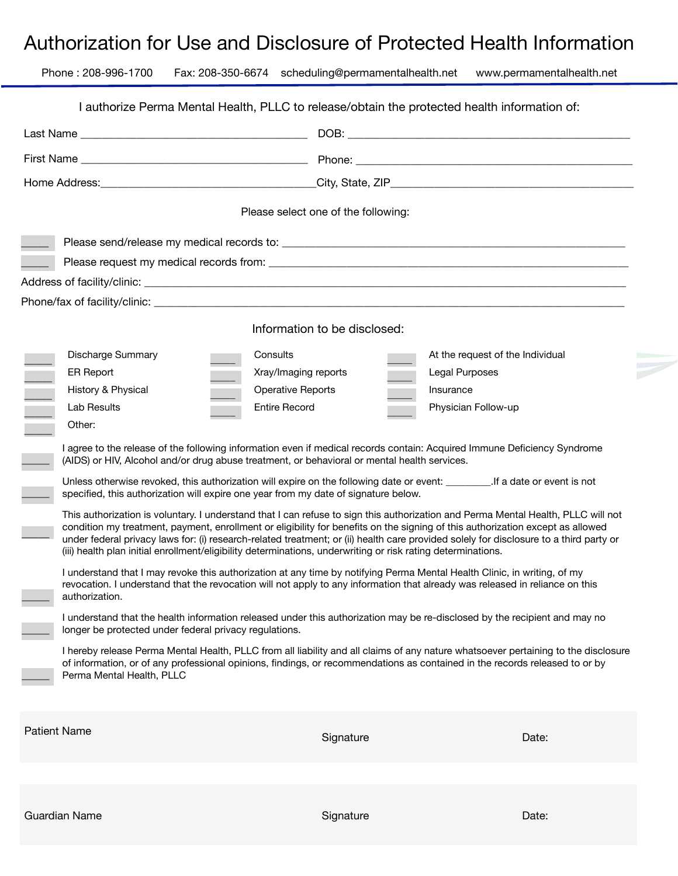## Authorization for Use and Disclosure of Protected Health Information

| Phone: 208-996-1700 |                                                        | Fax: 208-350-6674 scheduling@permamentalhealth.net                                                           | www.permamentalhealth.net                                                                                                                                                                                                                                                                                                                                                                                     |  |
|---------------------|--------------------------------------------------------|--------------------------------------------------------------------------------------------------------------|---------------------------------------------------------------------------------------------------------------------------------------------------------------------------------------------------------------------------------------------------------------------------------------------------------------------------------------------------------------------------------------------------------------|--|
|                     |                                                        |                                                                                                              | I authorize Perma Mental Health, PLLC to release/obtain the protected health information of:                                                                                                                                                                                                                                                                                                                  |  |
|                     |                                                        |                                                                                                              |                                                                                                                                                                                                                                                                                                                                                                                                               |  |
|                     |                                                        |                                                                                                              |                                                                                                                                                                                                                                                                                                                                                                                                               |  |
|                     |                                                        |                                                                                                              |                                                                                                                                                                                                                                                                                                                                                                                                               |  |
|                     |                                                        |                                                                                                              |                                                                                                                                                                                                                                                                                                                                                                                                               |  |
|                     |                                                        | Please select one of the following:                                                                          |                                                                                                                                                                                                                                                                                                                                                                                                               |  |
|                     |                                                        |                                                                                                              |                                                                                                                                                                                                                                                                                                                                                                                                               |  |
|                     |                                                        |                                                                                                              |                                                                                                                                                                                                                                                                                                                                                                                                               |  |
|                     |                                                        |                                                                                                              |                                                                                                                                                                                                                                                                                                                                                                                                               |  |
|                     |                                                        |                                                                                                              |                                                                                                                                                                                                                                                                                                                                                                                                               |  |
|                     |                                                        | Information to be disclosed:                                                                                 |                                                                                                                                                                                                                                                                                                                                                                                                               |  |
|                     | Discharge Summary                                      | Consults                                                                                                     | At the request of the Individual                                                                                                                                                                                                                                                                                                                                                                              |  |
| <b>ER Report</b>    |                                                        | Xray/Imaging reports                                                                                         | <b>Legal Purposes</b>                                                                                                                                                                                                                                                                                                                                                                                         |  |
| History & Physical  |                                                        | <b>Operative Reports</b>                                                                                     | Insurance                                                                                                                                                                                                                                                                                                                                                                                                     |  |
| Lab Results         |                                                        | <b>Entire Record</b>                                                                                         | Physician Follow-up                                                                                                                                                                                                                                                                                                                                                                                           |  |
| Other:              |                                                        |                                                                                                              |                                                                                                                                                                                                                                                                                                                                                                                                               |  |
|                     |                                                        | (AIDS) or HIV, Alcohol and/or drug abuse treatment, or behavioral or mental health services.                 | I agree to the release of the following information even if medical records contain: Acquired Immune Deficiency Syndrome                                                                                                                                                                                                                                                                                      |  |
|                     |                                                        | specified, this authorization will expire one year from my date of signature below.                          | Unless otherwise revoked, this authorization will expire on the following date or event: __________. If a date or event is not                                                                                                                                                                                                                                                                                |  |
|                     |                                                        | (iii) health plan initial enrollment/eligibility determinations, underwriting or risk rating determinations. | This authorization is voluntary. I understand that I can refuse to sign this authorization and Perma Mental Health, PLLC will not<br>condition my treatment, payment, enrollment or eligibility for benefits on the signing of this authorization except as allowed<br>under federal privacy laws for: (i) research-related treatment; or (ii) health care provided solely for disclosure to a third party or |  |
| authorization.      |                                                        |                                                                                                              | I understand that I may revoke this authorization at any time by notifying Perma Mental Health Clinic, in writing, of my<br>revocation. I understand that the revocation will not apply to any information that already was released in reliance on this                                                                                                                                                      |  |
|                     | longer be protected under federal privacy regulations. |                                                                                                              | I understand that the health information released under this authorization may be re-disclosed by the recipient and may no                                                                                                                                                                                                                                                                                    |  |
|                     | Perma Mental Health, PLLC                              |                                                                                                              | I hereby release Perma Mental Health, PLLC from all liability and all claims of any nature whatsoever pertaining to the disclosure<br>of information, or of any professional opinions, findings, or recommendations as contained in the records released to or by                                                                                                                                             |  |
| <b>Patient Name</b> |                                                        | Signature                                                                                                    | Date:                                                                                                                                                                                                                                                                                                                                                                                                         |  |
|                     |                                                        |                                                                                                              |                                                                                                                                                                                                                                                                                                                                                                                                               |  |
|                     |                                                        |                                                                                                              |                                                                                                                                                                                                                                                                                                                                                                                                               |  |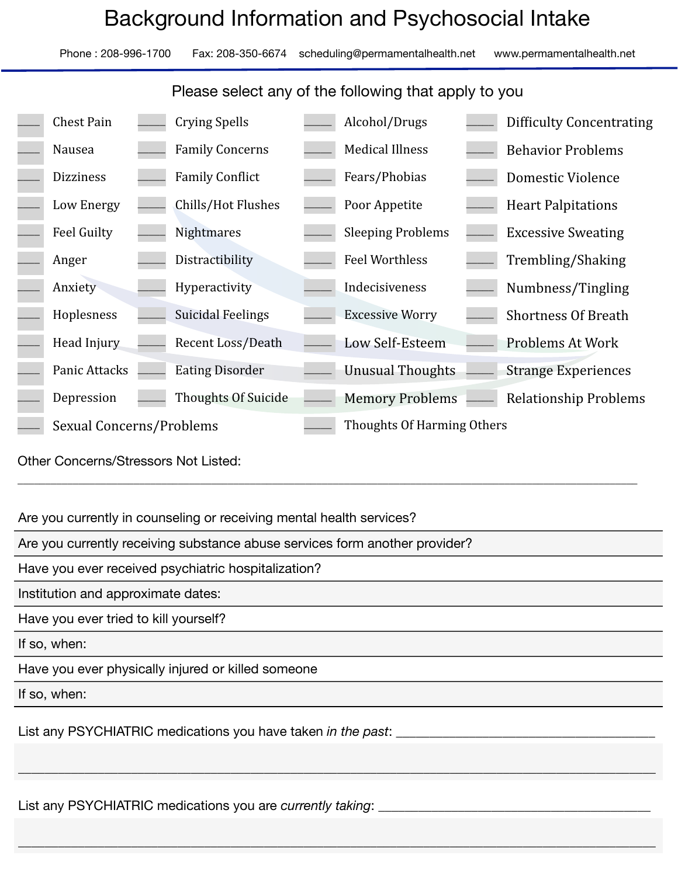# Background Information and Psychosocial Intake

Phone : 208-996-1700 Fax: 208-350-6674 scheduling@permamentalhealth.net www.permamentalhealth.net

### Please select any of the following that apply to you

| <b>Chest Pain</b>        | <b>Crying Spells</b>       | Alcohol/Drugs              | <b>Difficulty Concentrating</b> |
|--------------------------|----------------------------|----------------------------|---------------------------------|
| Nausea                   | <b>Family Concerns</b>     | <b>Medical Illness</b>     | <b>Behavior Problems</b>        |
| <b>Dizziness</b>         | <b>Family Conflict</b>     | Fears/Phobias              | Domestic Violence               |
| Low Energy               | Chills/Hot Flushes         | Poor Appetite              | <b>Heart Palpitations</b>       |
| <b>Feel Guilty</b>       | <b>Nightmares</b>          | <b>Sleeping Problems</b>   | <b>Excessive Sweating</b>       |
| Anger                    | Distractibility            | Feel Worthless             | Trembling/Shaking               |
| Anxiety                  | Hyperactivity              | Indecisiveness             | Numbness/Tingling               |
| Hoplesness               | <b>Suicidal Feelings</b>   | <b>Excessive Worry</b>     | <b>Shortness Of Breath</b>      |
| Head Injury              | <b>Recent Loss/Death</b>   | Low Self-Esteem            | Problems At Work                |
| Panic Attacks            | <b>Eating Disorder</b>     | <b>Unusual Thoughts</b>    | <b>Strange Experiences</b>      |
| Depression               | <b>Thoughts Of Suicide</b> | <b>Memory Problems</b>     | <b>Relationship Problems</b>    |
| Sexual Concerns/Problems |                            | Thoughts Of Harming Others |                                 |

\_\_\_\_\_\_\_\_\_\_\_\_\_\_\_\_\_\_\_\_\_\_\_\_\_\_\_\_\_\_\_\_\_\_\_\_\_\_\_\_\_\_\_\_\_\_\_\_\_\_\_\_\_\_\_ \_\_\_\_\_\_\_\_\_\_\_\_\_\_\_\_\_\_\_\_\_\_\_\_\_\_\_\_\_\_\_\_\_\_\_\_\_\_\_\_\_\_\_\_\_\_\_\_\_\_\_\_\_\_\_\_\_\_\_\_\_\_\_\_\_\_\_\_\_\_\_\_\_\_\_\_\_\_\_\_\_\_\_\_\_\_\_\_\_\_\_\_\_\_\_\_\_\_\_\_\_\_\_\_\_\_\_\_\_\_\_\_

\_\_\_\_\_\_\_\_\_\_\_\_\_\_\_\_\_\_\_\_\_\_\_\_\_\_\_\_\_\_\_\_\_\_\_\_\_\_\_\_\_\_\_\_\_\_\_\_\_\_\_\_\_\_\_\_\_\_\_\_\_\_\_\_\_\_\_\_\_\_\_\_\_\_\_\_\_\_\_\_\_\_\_\_\_\_\_\_\_\_\_\_\_\_\_\_

 $\overline{\phantom{a}}$  , and the contribution of the contribution of the contribution of the contribution of the contribution of the contribution of the contribution of the contribution of the contribution of the contribution of the

Other Concerns/Stressors Not Listed:

Are you currently in counseling or receiving mental health services?

Are you currently receiving substance abuse services form another provider?

Have you ever received psychiatric hospitalization?

Institution and approximate dates:

Have you ever tried to kill yourself?

If so, when:

Have you ever physically injured or killed someone

If so, when:

List any PSYCHIATRIC medications you have taken *in the past*:

List any PSYCHIATRIC medications you are *currently taking*: